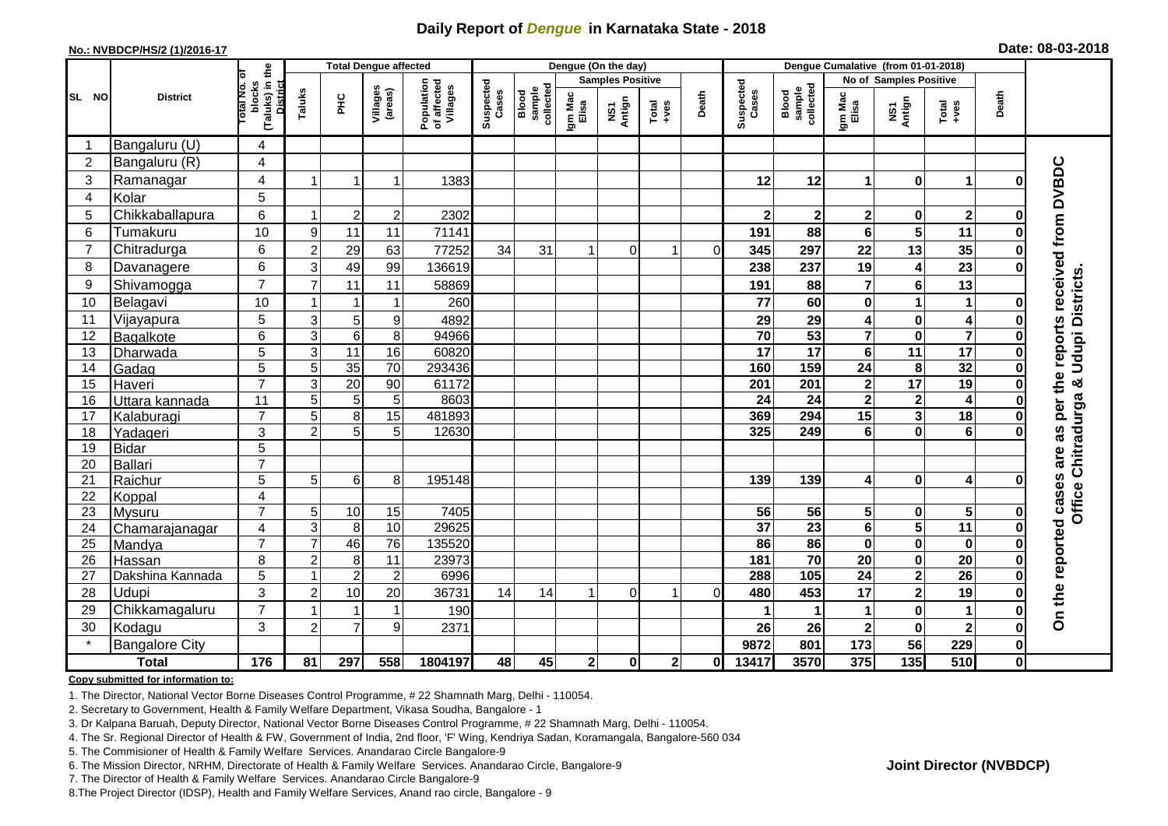## **Daily Report of** *Dengue* **in Karnataka State - 2018**

#### **No.: NVBDCP/HS/2 (1)/2016-17**

|  | Date: 08-03-2018 |  |  |
|--|------------------|--|--|
|--|------------------|--|--|

|                | <b>Total Dengue affected</b> |                                                       |                                  |                 |                     |                                       | Dengue (On the day) |                              |                  |                         |                                                                        |          |                    | Dengue Cumalative (from 01-01-2018) |                               |                         |                         |              |                                        |  |
|----------------|------------------------------|-------------------------------------------------------|----------------------------------|-----------------|---------------------|---------------------------------------|---------------------|------------------------------|------------------|-------------------------|------------------------------------------------------------------------|----------|--------------------|-------------------------------------|-------------------------------|-------------------------|-------------------------|--------------|----------------------------------------|--|
|                |                              |                                                       |                                  |                 |                     |                                       |                     |                              |                  | <b>Samples Positive</b> |                                                                        |          |                    |                                     | <b>No of Samples Positive</b> |                         |                         |              |                                        |  |
| SL NO          | <b>District</b>              | (Taluks) in the<br>District<br>rotal No. of<br>blocks | Taluks                           | ΞÉ              | Villages<br>(areas) | Population<br>of affected<br>Villages | Suspected<br>Cases  | Blood<br>sample<br>collected | Igm Mac<br>Elisa | NS1<br>Antign           | $\begin{array}{c}\n\text{Total} \\ \text{1}-\text{total}\n\end{array}$ | Death    | Suspected<br>Cases | collected<br><b>Blood</b><br>sample | Igm Mac<br>Elisa              | NS1<br>Antign           | $Total$                 | Death        |                                        |  |
|                | Bangaluru (U)                | 4                                                     |                                  |                 |                     |                                       |                     |                              |                  |                         |                                                                        |          |                    |                                     |                               |                         |                         |              |                                        |  |
| $\overline{2}$ | Bangaluru (R)                | $\overline{4}$                                        |                                  |                 |                     |                                       |                     |                              |                  |                         |                                                                        |          |                    |                                     |                               |                         |                         |              |                                        |  |
| 3              | Ramanagar                    | 4                                                     |                                  |                 | 1                   | 1383                                  |                     |                              |                  |                         |                                                                        |          | 12                 | 12                                  | $\blacktriangleleft$          | $\bf{0}$                | 1                       | በ            | as per the reports received from DVBDC |  |
| 4              | Kolar                        | 5                                                     |                                  |                 |                     |                                       |                     |                              |                  |                         |                                                                        |          |                    |                                     |                               |                         |                         |              |                                        |  |
| 5              | Chikkaballapura              | 6                                                     | -1                               | $\overline{2}$  | $\overline{c}$      | 2302                                  |                     |                              |                  |                         |                                                                        |          | $\mathbf{2}$       | $\mathbf 2$                         | $\overline{\mathbf{2}}$       | 0                       | $\overline{\mathbf{2}}$ | O            |                                        |  |
| 6              | Tumakuru                     | 10                                                    | 9                                | 11              | 11                  | 71141                                 |                     |                              |                  |                         |                                                                        |          | 191                | 88                                  | 6                             | $\overline{\mathbf{5}}$ | 11                      |              |                                        |  |
| $\overline{7}$ | Chitradurga                  | 6                                                     | $\overline{2}$                   | 29              | 63                  | 77252                                 | 34                  | 31                           |                  | $\Omega$                |                                                                        | $\Omega$ | 345                | 297                                 | 22                            | 13                      | 35                      |              |                                        |  |
| 8              | Davanagere                   | 6                                                     | 3                                | 49              | 99                  | 136619                                |                     |                              |                  |                         |                                                                        |          | 238                | 237                                 | 19                            | $\overline{\mathbf{4}}$ | $\overline{23}$         | ŋ            |                                        |  |
| 9              | Shivamogga                   | $\overline{7}$                                        | $\overline{7}$                   | 11              | 11                  | 58869                                 |                     |                              |                  |                         |                                                                        |          | 191                | 88                                  | 7                             | $6\phantom{1}$          | 13                      |              | Chitradurga & Udupi Districts          |  |
| 10             | Belagavi                     | 10                                                    |                                  | -1              | 1                   | 260                                   |                     |                              |                  |                         |                                                                        |          | 77                 | 60                                  | 0                             | 1                       | $\mathbf{1}$            | O            |                                        |  |
| 11             | Vijayapura                   | 5                                                     | 3                                | 5               | 9                   | 4892                                  |                     |                              |                  |                         |                                                                        |          | 29                 | 29                                  | 4                             | $\pmb{0}$               | $\overline{\mathbf{4}}$ |              |                                        |  |
| 12             | Bagalkote                    | 6                                                     | $\overline{3}$                   | $\overline{6}$  | 8                   | 94966                                 |                     |                              |                  |                         |                                                                        |          | $\overline{70}$    | 53                                  | $\overline{\mathbf{7}}$       | $\pmb{0}$               | $\overline{\mathbf{7}}$ |              |                                        |  |
| 13             | Dharwada                     | 5                                                     | 3                                | $\overline{11}$ | 16                  | 60820                                 |                     |                              |                  |                         |                                                                        |          | 17                 | $\overline{17}$                     | 6                             | $\overline{11}$         | 17                      |              |                                        |  |
| 14             | Gadag                        | 5                                                     | 5                                | 35              | 70                  | 293436                                |                     |                              |                  |                         |                                                                        |          | 160                | 159                                 | 24                            | 8                       | 32                      | O            |                                        |  |
| 15             | Haveri                       | $\overline{7}$                                        | 3                                | $\overline{20}$ | 90                  | 61172                                 |                     |                              |                  |                         |                                                                        |          | 201                | 201                                 | $\mathbf 2$                   | $\overline{17}$         | 19                      | O            |                                        |  |
| 16             | Uttara kannada               | 11                                                    | 5                                | 5               | 5                   | 8603                                  |                     |                              |                  |                         |                                                                        |          | 24                 | $\overline{24}$                     | $\mathbf{2}$                  | $\overline{\mathbf{c}}$ | $\overline{\mathbf{4}}$ |              |                                        |  |
| 17             | Kalaburagi                   | $\overline{7}$                                        | 5                                | 8               | 15                  | 481893                                |                     |                              |                  |                         |                                                                        |          | 369                | 294                                 | 15                            | $\mathbf{3}$            | $\overline{18}$         |              |                                        |  |
| 18             | Yadageri                     | 3                                                     | $\overline{2}$                   | $\overline{5}$  | 5                   | 12630                                 |                     |                              |                  |                         |                                                                        |          | 325                | 249                                 | 6                             | $\mathbf 0$             | $\overline{6}$          |              |                                        |  |
| 19             | Bidar                        | 5                                                     |                                  |                 |                     |                                       |                     |                              |                  |                         |                                                                        |          |                    |                                     |                               |                         |                         |              | are                                    |  |
| 20             | Ballari                      | $\overline{7}$                                        |                                  |                 |                     |                                       |                     |                              |                  |                         |                                                                        |          |                    |                                     |                               |                         |                         |              |                                        |  |
| 21             | Raichur                      | 5                                                     | 5                                | 6               | 8                   | 195148                                |                     |                              |                  |                         |                                                                        |          | 139                | 139                                 | 4                             | $\mathbf 0$             | $\overline{\mathbf{4}}$ |              |                                        |  |
| 22             | Koppal                       | 4                                                     |                                  |                 |                     |                                       |                     |                              |                  |                         |                                                                        |          |                    |                                     |                               |                         |                         |              | <b>Office</b>                          |  |
| 23             | Mysuru                       | $\overline{7}$                                        | 5                                | 10              | 15                  | 7405                                  |                     |                              |                  |                         |                                                                        |          | 56                 | 56                                  | 5                             | $\pmb{0}$               | $\overline{\mathbf{5}}$ | O            |                                        |  |
| 24             | Chamarajanagar               | 4                                                     | 3                                | 8               | 10                  | 29625                                 |                     |                              |                  |                         |                                                                        |          | $\overline{37}$    | $\overline{23}$                     | 6                             | $\overline{\mathbf{5}}$ | 11                      | $\bf{0}$     |                                        |  |
| 25             | Mandya                       | $\overline{7}$                                        | $\overline{7}$                   | 46              | $\overline{76}$     | 135520                                |                     |                              |                  |                         |                                                                        |          | 86                 | 86                                  | $\mathbf 0$                   | $\pmb{0}$               | $\pmb{0}$               | $\bf{0}$     |                                        |  |
| 26             | Hassan                       | 8                                                     | $\overline{2}$<br>$\overline{1}$ | 8               | 11                  | 23973                                 |                     |                              |                  |                         |                                                                        |          | 181                | $\overline{70}$<br>105              | 20                            | $\pmb{0}$               | $\overline{20}$         | 0            |                                        |  |
| 27             | Dakshina Kannada             | 5                                                     |                                  | $\overline{2}$  | $\overline{2}$      | 6996                                  |                     |                              |                  |                         |                                                                        |          | 288                |                                     | $\overline{24}$               | $\overline{2}$          | $\overline{26}$         | $\bf{0}$     |                                        |  |
| 28             | Udupi                        | 3                                                     | $\overline{2}$                   | 10              | 20                  | 36731                                 | 14                  | 14                           |                  | 0                       |                                                                        | $\Omega$ | 480                | 453                                 | 17                            | $\overline{\mathbf{2}}$ | 19                      |              |                                        |  |
| 29             | Chikkamagaluru               | $\overline{7}$                                        |                                  |                 | 1                   | 190                                   |                     |                              |                  |                         |                                                                        |          |                    |                                     |                               | $\pmb{0}$               | $\blacktriangleleft$    | O            | On the reported cases                  |  |
| 30<br>$\star$  | Kodagu                       | 3                                                     | $\overline{c}$                   | $\overline{7}$  | 9                   | 2371                                  |                     |                              |                  |                         |                                                                        |          | 26                 | 26                                  | $\mathbf 2$                   | $\mathbf 0$             | $\overline{\mathbf{2}}$ | 0            |                                        |  |
|                | <b>Bangalore City</b>        |                                                       |                                  |                 |                     |                                       |                     |                              |                  |                         |                                                                        |          | 9872               | 801                                 | 173                           | $\overline{56}$         | 229                     | $\mathbf{0}$ |                                        |  |
|                | <b>Total</b>                 | 176                                                   | 81                               | 297             | 558                 | 1804197                               | 48                  | 45                           | $\mathbf{2}$     | $\mathbf 0$             | $\overline{2}$                                                         | 01       | 13417              | 3570                                | 375                           | $\overline{135}$        | 510                     | $\mathbf{0}$ |                                        |  |

#### **Copy submitted for information to:**

1. The Director, National Vector Borne Diseases Control Programme, # 22 Shamnath Marg, Delhi - 110054.

2. Secretary to Government, Health & Family Welfare Department, Vikasa Soudha, Bangalore - 1

3. Dr Kalpana Baruah, Deputy Director, National Vector Borne Diseases Control Programme, # 22 Shamnath Marg, Delhi - 110054.

- 4. The Sr. Regional Director of Health & FW, Government of India, 2nd floor, 'F' Wing, Kendriya Sadan, Koramangala, Bangalore-560 034
- 5. The Commisioner of Health & Family Welfare Services. Anandarao Circle Bangalore-9
- 6. The Mission Director, NRHM, Directorate of Health & Family Welfare Services. Anandarao Circle, Bangalore-9

7. The Director of Health & Family Welfare Services. Anandarao Circle Bangalore-9

8. The Project Director (IDSP), Health and Family Welfare Services, Anand rao circle, Bangalore - 9